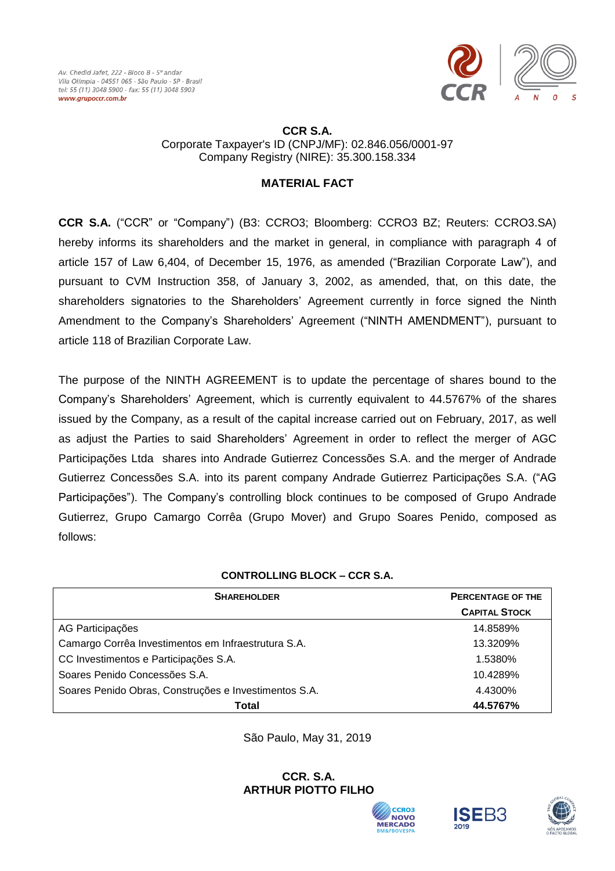

#### **CCR S.A.** Corporate Taxpayer's ID (CNPJ/MF): 02.846.056/0001-97 Company Registry (NIRE): 35.300.158.334

# **MATERIAL FACT**

**CCR S.A.** ("CCR" or "Company") (B3: CCRO3; Bloomberg: CCRO3 BZ; Reuters: CCRO3.SA) hereby informs its shareholders and the market in general, in compliance with paragraph 4 of article 157 of Law 6,404, of December 15, 1976, as amended ("Brazilian Corporate Law"), and pursuant to CVM Instruction 358, of January 3, 2002, as amended, that, on this date, the shareholders signatories to the Shareholders' Agreement currently in force signed the Ninth Amendment to the Company's Shareholders' Agreement ("NINTH AMENDMENT"), pursuant to article 118 of Brazilian Corporate Law.

The purpose of the NINTH AGREEMENT is to update the percentage of shares bound to the Company's Shareholders' Agreement, which is currently equivalent to 44.5767% of the shares issued by the Company, as a result of the capital increase carried out on February, 2017, as well as adjust the Parties to said Shareholders' Agreement in order to reflect the merger of AGC Participações Ltda shares into Andrade Gutierrez Concessões S.A. and the merger of Andrade Gutierrez Concessões S.A. into its parent company Andrade Gutierrez Participações S.A. ("AG Participações"). The Company's controlling block continues to be composed of Grupo Andrade Gutierrez, Grupo Camargo Corrêa (Grupo Mover) and Grupo Soares Penido, composed as follows:

## **CONTROLLING BLOCK – CCR S.A.**

| <b>SHAREHOLDER</b>                                    | <b>PERCENTAGE OF THE</b> |
|-------------------------------------------------------|--------------------------|
|                                                       | <b>CAPITAL STOCK</b>     |
| AG Participações                                      | 14.8589%                 |
| Camargo Corrêa Investimentos em Infraestrutura S.A.   | 13.3209%                 |
| CC Investimentos e Participações S.A.                 | 1.5380%                  |
| Soares Penido Concessões S.A.                         | 10.4289%                 |
| Soares Penido Obras, Construções e Investimentos S.A. | 4.4300%                  |
| Total                                                 | 44.5767%                 |

São Paulo, May 31, 2019

#### **CCR. S.A. ARTHUR PIOTTO FILHO**